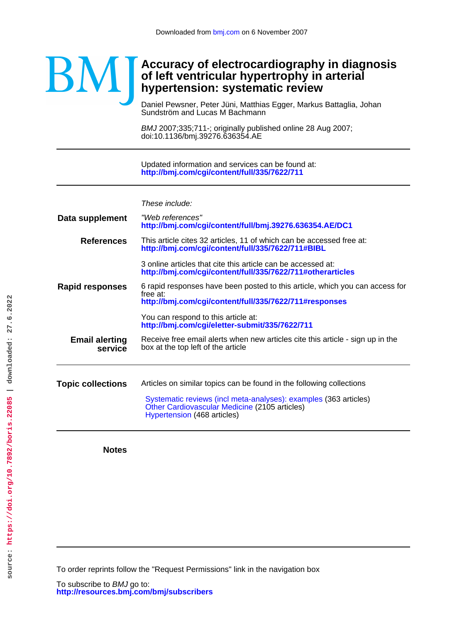## **Accuracy of electrocardiography in diagnosis** BM **of left ventricular hypertrophy in arterial hypertension: systematic review**

Sundström and Lucas M Bachmann Daniel Pewsner, Peter Jüni, Matthias Egger, Markus Battaglia, Johan

doi:10.1136/bmj.39276.636354.AE BMJ 2007;335;711-; originally published online 28 Aug 2007;

**<http://bmj.com/cgi/content/full/335/7622/711>** Updated information and services can be found at:

These include:

| Data supplement                  | "Web references"<br>http://bmj.com/cgi/content/full/bmj.39276.636354.AE/DC1                                                                                                                                              |  |  |  |
|----------------------------------|--------------------------------------------------------------------------------------------------------------------------------------------------------------------------------------------------------------------------|--|--|--|
| <b>References</b>                | This article cites 32 articles, 11 of which can be accessed free at:<br>http://bmj.com/cgi/content/full/335/7622/711#BIBL                                                                                                |  |  |  |
|                                  | 3 online articles that cite this article can be accessed at:<br>http://bmj.com/cgi/content/full/335/7622/711#otherarticles                                                                                               |  |  |  |
| <b>Rapid responses</b>           | 6 rapid responses have been posted to this article, which you can access for<br>free at:<br>http://bmj.com/cgi/content/full/335/7622/711#responses                                                                       |  |  |  |
|                                  | You can respond to this article at:<br>http://bmj.com/cgi/eletter-submit/335/7622/711                                                                                                                                    |  |  |  |
| <b>Email alerting</b><br>service | Receive free email alerts when new articles cite this article - sign up in the<br>box at the top left of the article                                                                                                     |  |  |  |
|                                  |                                                                                                                                                                                                                          |  |  |  |
| <b>Topic collections</b>         | Articles on similar topics can be found in the following collections<br>Systematic reviews (incl meta-analyses): examples (363 articles)<br>Other Cardiovascular Medicine (2105 articles)<br>Hypertension (468 articles) |  |  |  |

**Notes**

To order reprints follow the "Request Permissions" link in the navigation box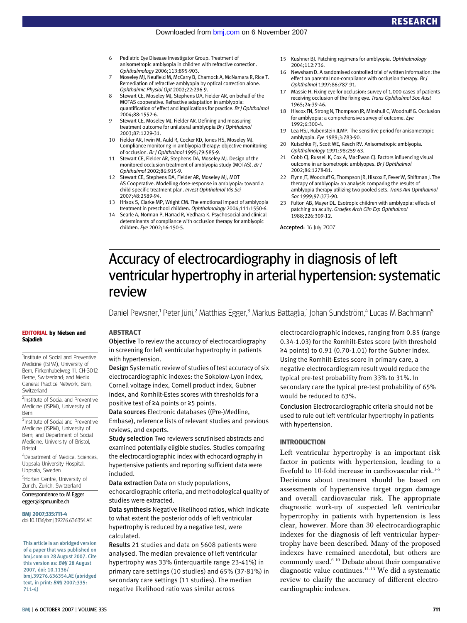- 6 Pediatric Eye Disease Investigator Group. Treatment of anisometropic amblyopia in children with refractive correction. Ophthalmology 2006;113:895-903.
- Moseley MJ, Neufield M, McCarry B, Charnock A, McNamara R, Rice T. Remediation of refractive amblyopia by optical correction alone. Ophthalmic Physiol Opt 2002;22:296-9.
- 8 Stewart CE, Moseley MJ, Stephens DA, Fielder AR, on behalf of the MOTAS cooperative. Refractive adaptation in amblyopia: quantification of effect and implications for practice. Br J Ophthalmol 2004;88:1552-6.
- 9 Stewart CE, Moseley MJ, Fielder AR. Defining and measuring treatment outcome for unilateral amblyopia Br J Ophthalmol 2003;87:1229-31.
- 10 Fielder AR, Irwin M, Auld R, Cocker KD, Jones HS, Moseley MJ. Compliance monitoring in amblyopia therapy: objective monitoring of occlusion. Br J Ophthalmol 1995;79:585-9.
- 11 Stewart CE, Fielder AR, Stephens DA, Moseley MJ. Design of the monitored occlusion treatment of amblyopia study (MOTAS). Br J Ophthalmol 2002;86:915-9.
- 12 Stewart CE, Stephens DA, Fielder AR, Moseley MJ, MOT AS Cooperative. Modelling dose-response in amblyopia: toward a child-specific treatment plan. Invest Ophthalmol Vis Sci 2007;48:2589-94.
- 13 Hrisos S, Clarke MP, Wright CM. The emotional impact of amblyopia treatment in preschool children. Ophthalmology 2004;111:1550-6.
- 14 Searle A, Norman P, Harrad R, Vedhara K. Psychosocial and clinical determinants of compliance with occlusion therapy for amblyopic children. Eye 2002;16:150-5.
- 15 Kushner BJ. Patching regimens for amblyopia. Ophthalmology 2004;112:736.
- 16 Newsham D. A randomised controlled trial of written information: the effect on parental non-compliance with occlusion therapy. Br J Ophthalmol 1997;86:787-91.
- 17 Massie H. Fixing eye for occlusion: survey of 1,000 cases of patients receiving occlusion of the fixing eye. Trans Ophthalmol Soc Aust 1965;24:39-46.
- 18 Hiscox FN, Strong N, Thompson JR, Minshull C, Woodruff G. Occlusion for amblyopia: a comprehensive survey of outcome. Eye 1992;6:300-4.
- 19 Lea HSJ, Rubenstein JLMP. The sensitive period for anisometropic amblyopia. Eye 1989;3:783-90.
- 20 Kutschke PJ, Scott WE, Keech RV. Anisometropic amblyopia. Ophthalmology 1991;98:259-63.
- 21 Cobb CJ, Russell K, Cox A, MacEwan CJ. Factors influencing visual outcome in anisometropic amblyopes. Br J Ophthalmol 2002;86:1278-81.
- 22 Flynn IT, Woodruff G, Thompson IR, Hiscox F, Fever W, Shiftman I, The therapy of amblyopia: an analysis comparing the results of amblyopia therapy utilizing two pooled sets. Trans Am Ophthalmol Soc 1999;97:373-90.
- 23 Fulton AB, Mayer DL. Esotropic children with amblyopia: effects of patching on acuity. Graefes Arch Clin Exp Ophthalmol 1988;226:309-12.

Accepted: 16 July 2007

# Accuracy of electrocardiography in diagnosis of left ventricular hypertrophy in arterial hypertension: systematic review

Daniel Pewsner,<sup>1</sup> Peter Jüni,<sup>2</sup> Matthias Egger,<sup>3</sup> Markus Battaglia,<sup>1</sup> Johan Sundström,<sup>4</sup> Lucas M Bachmann<sup>5</sup>

#### EDITORIAL by Nielsen and Sajadieh

<sup>1</sup>Institute of Social and Preventive Medicine (ISPM), University of Bern, Finkenhubelweg 11, CH-3012 Berne, Switzerland; and Medix General Practice Network, Bern, Switzerland

<sup>2</sup>Institute of Social and Preventive Medicine (ISPM), University of Bern

<sup>3</sup>Institute of Social and Preventive Medicine (ISPM), University of Bern; and Department of Social Medicine, University of Bristol, Bristol

4 Department of Medical Sciences, Uppsala University Hospital, Uppsala, Sweden

<sup>5</sup>Horten Centre, University of Zurich, Zurich, Switzerland

Correspondence to: M Egger egger@ispm.unibe.ch

#### BMJ 2007;335:711-4

doi:10.1136/bmj.39276.636354.AE

This article is an abridged version of a paper that was published on bmj.com on 28 August 2007. Cite this version as: BMJ 28 August 2007, doi: 10.1136/ bmj.39276.636354.AE (abridged text, in print: BMJ 2007;335: 711-4)

#### BMJ | 6 OCTOBER 2007 | VOLUME 335 711

#### ABSTRACT

Objective To review the accuracy of electrocardiography in screening for left ventricular hypertrophy in patients with hypertension.

Design Systematic review of studies of test accuracy of six electrocardiographic indexes: the Sokolow-Lyon index, Cornell voltage index, Cornell product index, Gubner index, and Romhilt-Estes scores with thresholds for a positive test of ≥4 points or ≥5 points.

Data sources Electronic databases ((Pre-)Medline, Embase), reference lists of relevant studies and previous reviews, and experts.

Study selection Two reviewers scrutinised abstracts and examined potentially eligible studies. Studies comparing the electrocardiographic index with echocardiography in hypertensive patients and reporting sufficient data were included.

Data extraction Data on study populations,

echocardiographic criteria, and methodological quality of studies were extracted.

Data synthesis Negative likelihood ratios, which indicate to what extent the posterior odds of left ventricular hypertrophy is reduced by a negative test, were calculated.

Results 21 studies and data on 5608 patients were analysed. The median prevalence of left ventricular hypertrophy was 33% (interquartile range 23-41%) in primary care settings (10 studies) and 65% (37-81%) in secondary care settings (11 studies). The median negative likelihood ratio was similar across

electrocardiographic indexes, ranging from 0.85 (range 0.34-1.03) for the Romhilt-Estes score (with threshold ≥4 points) to 0.91 (0.70-1.01) for the Gubner index. Using the Romhilt-Estes score in primary care, a negative electrocardiogram result would reduce the typical pre-test probability from 33% to 31%. In secondary care the typical pre-test probability of 65% would be reduced to 63%.

Conclusion Electrocardiographic criteria should not be used to rule out left ventricular hypertrophy in patients with hypertension.

### INTRODUCTION

Left ventricular hypertrophy is an important risk factor in patients with hypertension, leading to a fivefold to 10-fold increase in cardiovascular risk.<sup>1-5</sup> Decisions about treatment should be based on assessments of hypertensive target organ damage and overall cardiovascular risk. The appropriate diagnostic work-up of suspected left ventricular hypertrophy in patients with hypertension is less clear, however. More than 30 electrocardiographic indexes for the diagnosis of left ventricular hypertrophy have been described. Many of the proposed indexes have remained anecdotal, but others are commonly used.<sup>6-10</sup> Debate about their comparative diagnostic value continues.11-13 We did a systematic review to clarify the accuracy of different electrocardiographic indexes.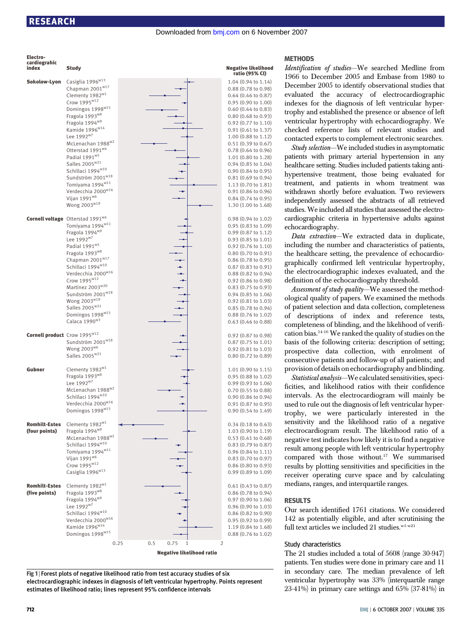| Electro-<br>cardiograhic                 |                                                             |                                  |                                                            | <b>METHODS</b>                                      |
|------------------------------------------|-------------------------------------------------------------|----------------------------------|------------------------------------------------------------|-----------------------------------------------------|
| index                                    | <b>Study</b>                                                |                                  | <b>Negative likelihood</b><br>ratio (95% CI)               | Identification of studies-<br>1966 to December 2005 |
| Sokolow-Lyon                             | Casiglia 1996 <sup>w13</sup>                                |                                  | 1.04 (0.94 to 1.14)                                        | December 2005 to identi                             |
|                                          | Chapman $2001w17$                                           |                                  | $0.88$ $(0.78$ to $0.98)$                                  |                                                     |
|                                          | Clementy 1982 <sup>w1</sup>                                 |                                  | $0.64$ (0.46 to 0.87)                                      | evaluated the accurac                               |
|                                          | Crow 1995 <sup>w12</sup><br>Domingos 1998 <sup>w15</sup>    |                                  | $0.95(0.90 \text{ to } 1.00)$<br>$0.60$ $(0.44$ to $0.83)$ | indexes for the diagnosi                            |
|                                          | Fragola 1993 <sup>w8</sup>                                  |                                  | $0.80$ (0.68 to 0.93)                                      | trophy and established th                           |
|                                          | Fragola 1994 <sup>w9</sup>                                  |                                  | $0.92$ $(0.77$ to $1.10)$                                  | ventricular hypertrophy                             |
|                                          | Kamide $1996^{\text{w14}}$                                  |                                  | $0.91$ (0.61 to 1.37)                                      | checked reference lists                             |
|                                          | Lee 1992 <sup>w7</sup>                                      |                                  | $1.00$ (0.88 to 1.12)                                      | contacted experts to com                            |
|                                          | McLenachan 1988 <sup>w2</sup>                               |                                  | $0.51$ $(0.39$ to $0.67)$                                  | Study selection-We incl                             |
|                                          | Otterstad 1991 <sup>w4</sup><br>Padial 1991 <sup>w5</sup>   |                                  | $0.78$ (0.64 to 0.96)                                      | patients with primary a                             |
|                                          | Salles 2005 <sup>w21</sup>                                  |                                  | 1.01 (0.80 to 1.28)<br>$0.94$ $(0.85$ to $1.04)$           | healthcare setting. Studies                         |
|                                          | Schillaci 1994 $w10$                                        |                                  | $0.90(0.84 \text{ to } 0.95)$                              |                                                     |
|                                          | Sundström 2001 $w18$                                        |                                  | $0.81$ $(0.69$ to $0.94)$                                  | hypertensive treatment,                             |
|                                          | Tomiyama 1994 <sup>w11</sup>                                |                                  | $1.13$ (0.70 to 1.81)                                      | treatment, and patients                             |
|                                          | Verdecchia 2000 <sup>w16</sup><br>Vijan 1991 <sup>w6</sup>  | ÷                                | $0.91$ $(0.86$ to $0.96)$                                  | withdrawn shortly before                            |
|                                          | Wong $2003^{\text{w19}}$                                    |                                  | $0.84$ $(0.74$ to $0.95)$<br>1.30 (1.00 to 1.68)           | independently assessed t                            |
|                                          |                                                             |                                  |                                                            | studies. We included all st                         |
|                                          | Cornell voltage Otterstad 1991 <sup>w4</sup>                |                                  | $0.98(0.94 \text{ to } 1.02)$                              | cardiographic criteria in                           |
|                                          | Tomiyama 1994 <sup>w11</sup>                                |                                  | $0.95(0.83 \text{ to } 1.09)$                              | echocardiography.                                   |
|                                          | Fragola 1994 <sup>w9</sup>                                  |                                  | $0.99$ (0.87 to 1.12)                                      | Data extraction-We e                                |
|                                          | Lee 1992 <sup>w7</sup><br>Padial 1991 <sup>w5</sup>         |                                  | $0.93(0.85 \text{ to } 1.01)$                              | including the number an                             |
|                                          | Fragola 1993 <sup>w8</sup>                                  |                                  | $0.92$ (0.76 to 1.10)<br>$0.80$ $(0.70$ to $0.91)$         | the healthcare setting, th                          |
|                                          | Chapman $2001w17$                                           |                                  | $0.86$ (0.78 to 0.95)                                      |                                                     |
|                                          | Schillaci 1994 $w10$                                        |                                  | $0.87$ $(0.83$ to $0.91)$                                  | graphically confirmed le                            |
|                                          | Verdecchia 2000 $^{\rm w16}$                                |                                  | $0.88$ $(0.82$ to $0.94)$                                  | the electrocardiographic                            |
|                                          | Crow $1995^{\text{w12}}$                                    | ÷                                | $0.92$ (0.86 to 0.98)                                      | definition of the echocard                          |
|                                          | Martinez 2003 <sup>w20</sup><br>Sundström 2001 $^{\rm w18}$ |                                  | $0.83$ $(0.75$ to $0.93)$<br>$0.94$ (0.85 to 1.06)         | Assessment of study qualit                          |
|                                          | Wong $2003^{\text{w19}}$                                    |                                  | $0.92$ (0.81 to 1.03)                                      | ological quality of papers                          |
|                                          | Salles $2005^{\text{w21}}$                                  |                                  | $0.85$ (0.78 to 0.94)                                      | of patient selection and d                          |
|                                          | Domingos 1998 $w15$                                         |                                  | $0.88$ $(0.76$ to $1.02)$                                  | of descriptions of in-                              |
|                                          | Calaca 1990 <sup>w3</sup>                                   |                                  | $0.63$ $(0.46 \text{ to } 0.88)$                           | completeness of blinding                            |
| Cornell product Crow 1995 <sup>w12</sup> |                                                             |                                  |                                                            | cation bias. <sup>14-16</sup> We ranked             |
|                                          | Sundström 2001 $w18$                                        |                                  | $0.92$ $(0.87$ to $0.98)$<br>$0.87$ (0.75 to 1.01)         | basis of the following cri                          |
|                                          | Wong $2003^{w6}$                                            |                                  | $0.92$ (0.81 to 1.03)                                      | prospective data colle                              |
|                                          | Salles 2005 <sup>w21</sup>                                  |                                  | $0.80$ $(0.72$ to $0.89)$                                  |                                                     |
|                                          |                                                             |                                  |                                                            | consecutive patients and                            |
| Gubner                                   | Clementy 1982 <sup>w1</sup><br>Fragola 1993 <sup>w8</sup>   |                                  | $1.01$ (0.90 to 1.15)                                      | provision of details on ech                         |
|                                          | Lee 1992 <sup>w7</sup>                                      |                                  | $0.95(0.88 \text{ to } 1.02)$<br>$0.99$ (0.93 to 1.06)     | Statistical analysis-We                             |
|                                          | McLenachan 1988 <sup>w2</sup>                               |                                  | 0.70 (0.55 to 0.88)                                        | ficities, and likelihood r                          |
|                                          | Schillaci 1994 $w10$                                        |                                  | $0.90$ $(0.86$ to $0.94)$                                  | intervals. As the electro                           |
|                                          | Verdecchia 2000 $^{\rm w16}$                                |                                  | 0.91 (0.87 to 0.95)                                        | used to rule out the diagn                          |
|                                          | Domingos 1998 $w15$                                         |                                  | $0.90(0.54 \text{ to } 1.49)$                              | trophy, we were part                                |
| <b>Romhilt-Estes</b>                     | Clementy 1982 <sup>w1</sup>                                 |                                  | $0.34$ (0.18 to 0.63)                                      | sensitivity and the like                            |
| (four points)                            | Fragola 1994 <sup>w9</sup>                                  |                                  | $1.03(0.90 \text{ to } 1.19)$                              | electrocardiogram result                            |
|                                          | McLenachan 1988 <sup>w2</sup>                               |                                  | $0.53$ (0.41 to 0.68)                                      | negative test indicates hov                         |
|                                          | Schillaci 1994 $w10$                                        |                                  | $0.83$ (0.79 to 0.87)                                      | result among people with                            |
|                                          | Tomiyama 1994 <sup>w11</sup>                                |                                  | $0.96$ $(0.84$ to $1.11)$                                  |                                                     |
|                                          | Vijan 1991 $^{w6}$<br>Crow $1995^{\text{w12}}$              |                                  | $0.83$ $(0.70$ to $0.97)$                                  | compared with those                                 |
|                                          | Casiglia $1996^{\text{w13}}$                                |                                  | $0.86$ (0.80 to 0.93)<br>$0.99$ $(0.89$ to $1.09)$         | results by plotting sensiti                         |
|                                          |                                                             |                                  |                                                            | receiver operating curve                            |
| <b>Romhilt-Estes</b>                     | Clementy 1982 <sup>w1</sup>                                 |                                  | $0.61$ $(0.43$ to $0.87)$                                  | medians, ranges, and inte                           |
| (five points)                            | Fragola 1993 <sup>w8</sup>                                  |                                  | $0.86$ (0.78 to 0.94)                                      |                                                     |
|                                          | Fragola 1994 <sup>w9</sup>                                  |                                  | $0.97$ (0.90 to 1.06)                                      | <b>RESULTS</b>                                      |
|                                          | Lee 1992 <sup>w7</sup><br>Schillaci 1994 $w10$              |                                  | $0.96$ (0.90 to 1.03)<br>$0.86$ $(0.82$ to $0.90)$         | Our search identified 17                            |
|                                          | Verdecchia 2000 $^{\rm w16}$                                |                                  | $0.95(0.92 \text{ to } 0.99)$                              | 142 as potentially eligibl                          |
|                                          | Kamide 1996 <sup>w14</sup>                                  |                                  | $1.19(0.84 \text{ to } 1.68)$                              | full text articles we includ                        |
|                                          | Domingos 1998 <sup>w15</sup>                                |                                  | $0.88$ $(0.76$ to $1.02)$                                  |                                                     |
|                                          |                                                             | 0.75<br>0.25<br>0.5<br>2<br>1    |                                                            | Study characteristics                               |
|                                          |                                                             | <b>Negative likelihood ratio</b> |                                                            | The 21 studies included a                           |

Fig 1 | Forest plots of negative likelihood ratio from test accuracy studies of six electrocardiographic indexes in diagnosis of left ventricular hypertrophy. Points represent estimates of likelihood ratio; lines represent 95% confidence intervals

We searched Medline from and Embase from 1980 to ify observational studies that y of electrocardiographic is of left ventricular hyperte presence or absence of left with echocardiography. We of relevant studies and plement electronic searches.

uded studies in asymptomatic rterial hypertension in any included patients taking antithose being evaluated for in whom treatment was e evaluation. Two reviewers the abstracts of all retrieved udies that assessed the electrohypertensive adults against

extracted data in duplicate, d characteristics of patients, the prevalence of echocardioeft ventricular hypertrophy, indexes evaluated, and the diography threshold.

 $ty$ —We assessed the method-. We examined the methods lata collection, completeness dex and reference tests, and the likelihood of verifid the quality of studies on the iteria: description of setting; ction, with enrolment of follow-up of all patients; and ocardiography and blinding.

calculated sensitivities, speciratios with their confidence intervals will mainly be uosis of left ventricular hyperticularly interested in the lihood ratio of a negative . The likelihood ratio of a w likely it is to find a negative left ventricular hypertrophy without.<sup>17</sup> We summarised ivities and specificities in the e space and by calculating erquartile ranges.

'61 citations. We considered le, and after scrutinising the  $\text{led } 21 \text{ studies.}^{\text{wl-w21}}$ 

The 21 studies included a total of 5608 (range 30-947) patients. Ten studies were done in primary care and 11 in secondary care. The median prevalence of left ventricular hypertrophy was 33% (interquartile range 23-41%) in primary care settings and 65% (37-81%) in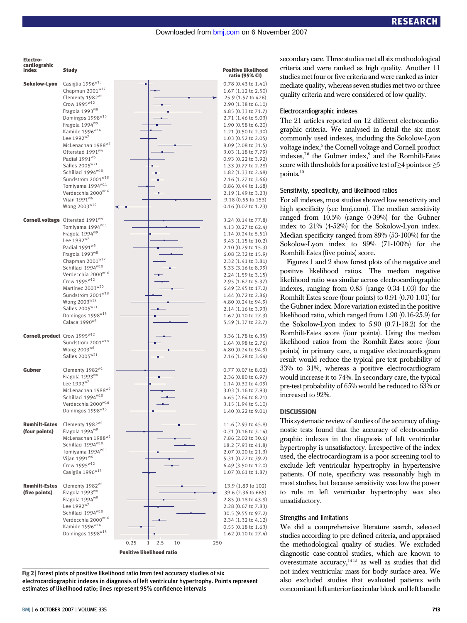

Fig 2 <sup>|</sup> Forest plots of positive likelihood ratio from test accuracy studies of six electrocardiographic indexes in diagnosis of left ventricular hypertrophy. Points represent estimates of likelihood ratio; lines represent 95% confidence intervals

#### Electrocardiographic indexes

The 21 articles reported on 12 different electrocardiographic criteria. We analysed in detail the six most commonly used indexes, including the Sokolow-Lyon voltage index,<sup>6</sup> the Cornell voltage and Cornell product indexes,<sup>78</sup> the Gubner index, $9$  and the Romhilt-Estes score with thresholds for a positive test of  $\geq 4$  points or  $\geq 5$ points.10

#### Sensitivity, specificity, and likelihood ratios

For all indexes, most studies showed low sensitivity and high specificity (see bmj.com). The median sensitivity ranged from 10.5% (range 0-39%) for the Gubner index to 21% (4-52%) for the Sokolow-Lyon index. Median specificity ranged from 89% (53-100%) for the Sokolow-Lyon index to 99% (71-100%) for the Romhilt-Estes (five points) score.

Figures 1 and 2 show forest plots of the negative and positive likelihood ratios. The median negative likelihood ratio was similar across electrocardiographic indexes, ranging from 0.85 (range 0.34-1.03) for the Romhilt-Estes score (four points) to 0.91 (0.70-1.01) for the Gubner index.More variation existed in the positive likelihood ratio, which ranged from 1.90 (0.16-25.9) for the Sokolow-Lyon index to 5.90 (0.71-18.2) for the Romhilt-Estes score (four points). Using the median likelihood ratios from the Romhilt-Estes score (four points) in primary care, a negative electrocardiogram result would reduce the typical pre-test probability of 33% to 31%, whereas a positive electrocardiogram would increase it to 74%. In secondary care, the typical pre-test probability of 65% would be reduced to 63% or increased to 92%.

#### **DISCUSSION**

This systematic review of studies of the accuracy of diagnostic tests found that the accuracy of electrocardiographic indexes in the diagnosis of left ventricular hypertrophy is unsatisfactory. Irrespective of the index used, the electrocardiogram is a poor screening tool to exclude left ventricular hypertrophy in hypertensive patients. Of note, specificity was reasonably high in most studies, but because sensitivity was low the power to rule in left ventricular hypertrophy was also unsatisfactory.

## Strengths and limitations

We did a comprehensive literature search, selected studies according to pre-defined criteria, and appraised the methodological quality of studies. We excluded diagnostic case-control studies, which are known to overestimate accuracy, $1415$  as well as studies that did not index ventricular mass for body surface area. We also excluded studies that evaluated patients with concomitant left anterior fascicular block and left bundle